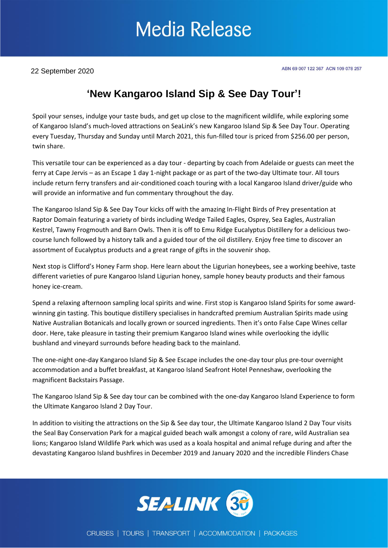## **Media Release**

22 September 2020

### **'New Kangaroo Island Sip & See Day Tour'!**

Spoil your senses, indulge your taste buds, and get up close to the magnificent wildlife, while exploring some of Kangaroo Island's much-loved attractions on SeaLink's new Kangaroo Island Sip & See Day Tour. Operating every Tuesday, Thursday and Sunday until March 2021, this fun-filled tour is priced from \$256.00 per person, twin share.

This versatile tour can be experienced as a day tour - departing by coach from Adelaide or guests can meet the ferry at Cape Jervis – as an Escape 1 day 1-night package or as part of the two-day Ultimate tour. All tours include return ferry transfers and air-conditioned coach touring with a local Kangaroo Island driver/guide who will provide an informative and fun commentary throughout the day.

The Kangaroo Island Sip & See Day Tour kicks off with the amazing In-Flight Birds of Prey presentation at Raptor Domain featuring a variety of birds including Wedge Tailed Eagles, Osprey, Sea Eagles, Australian Kestrel, Tawny Frogmouth and Barn Owls. Then it is off to Emu Ridge Eucalyptus Distillery for a delicious twocourse lunch followed by a history talk and a guided tour of the oil distillery. Enjoy free time to discover an assortment of Eucalyptus products and a great range of gifts in the souvenir shop.

Next stop is Clifford's Honey Farm shop. Here learn about the Ligurian honeybees, see a working beehive, taste different varieties of pure Kangaroo Island Ligurian honey, sample honey beauty products and their famous honey ice-cream.

Spend a relaxing afternoon sampling local spirits and wine. First stop is Kangaroo Island Spirits for some awardwinning gin tasting. This boutique distillery specialises in handcrafted premium Australian Spirits made using Native Australian Botanicals and locally grown or sourced ingredients. Then it's onto False Cape Wines cellar door. Here, take pleasure in tasting their premium Kangaroo Island wines while overlooking the idyllic bushland and vineyard surrounds before heading back to the mainland.

The one-night one-day Kangaroo Island Sip & See Escape includes the one-day tour plus pre-tour overnight accommodation and a buffet breakfast, at Kangaroo Island Seafront Hotel Penneshaw, overlooking the magnificent Backstairs Passage.

The Kangaroo Island Sip & See day tour can be combined with the one-day Kangaroo Island Experience to form the Ultimate Kangaroo Island 2 Day Tour.

In addition to visiting the attractions on the Sip & See day tour, the Ultimate Kangaroo Island 2 Day Tour visits the Seal Bay Conservation Park for a magical guided beach walk amongst a colony of rare, wild Australian sea lions; Kangaroo Island Wildlife Park which was used as a koala hospital and animal refuge during and after the devastating Kangaroo Island bushfires in December 2019 and January 2020 and the incredible Flinders Chase

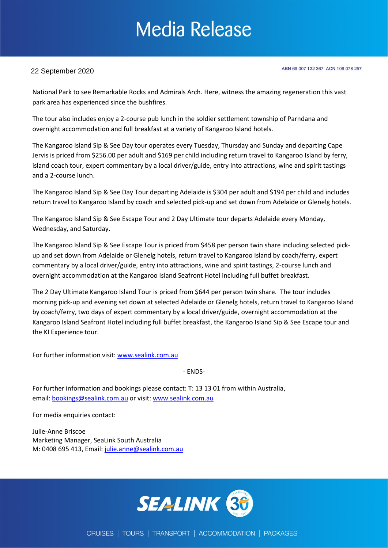# **Media Release**

#### 22 September 2020

ABN 69 007 122 367 ACN 109 078 257

National Park to see Remarkable Rocks and Admirals Arch. Here, witness the amazing regeneration this vast park area has experienced since the bushfires.

The tour also includes enjoy a 2-course pub lunch in the soldier settlement township of Parndana and overnight accommodation and full breakfast at a variety of Kangaroo Island hotels.

The Kangaroo Island Sip & See Day tour operates every Tuesday, Thursday and Sunday and departing Cape Jervis is priced from \$256.00 per adult and \$169 per child including return travel to Kangaroo Island by ferry, island coach tour, expert commentary by a local driver/guide, entry into attractions, wine and spirit tastings and a 2-course lunch.

The Kangaroo Island Sip & See Day Tour departing Adelaide is \$304 per adult and \$194 per child and includes return travel to Kangaroo Island by coach and selected pick-up and set down from Adelaide or Glenelg hotels.

The Kangaroo Island Sip & See Escape Tour and 2 Day Ultimate tour departs Adelaide every Monday, Wednesday, and Saturday.

The Kangaroo Island Sip & See Escape Tour is priced from \$458 per person twin share including selected pickup and set down from Adelaide or Glenelg hotels, return travel to Kangaroo Island by coach/ferry, expert commentary by a local driver/guide, entry into attractions, wine and spirit tastings, 2-course lunch and overnight accommodation at the Kangaroo Island Seafront Hotel including full buffet breakfast.

The 2 Day Ultimate Kangaroo Island Tour is priced from \$644 per person twin share. The tour includes morning pick-up and evening set down at selected Adelaide or Glenelg hotels, return travel to Kangaroo Island by coach/ferry, two days of expert commentary by a local driver/guide, overnight accommodation at the Kangaroo Island Seafront Hotel including full buffet breakfast, the Kangaroo Island Sip & See Escape tour and the KI Experience tour.

For further information visit: [www.sealink.com.au](http://www.sealink.com.au/)

- ENDS-

For further information and bookings please contact: T: 13 13 01 from within Australia, email: [bookings@sealink.com.au](mailto:bookings@sealink.com.au) or visit[: www.sealink.com.au](http://www.sealink.com.au/)

For media enquiries contact:

Julie-Anne Briscoe Marketing Manager, SeaLink South Australia M: 0408 695 413, Email: [julie.anne@sealink.com.au](mailto:julie.anne@sealink.com.au)